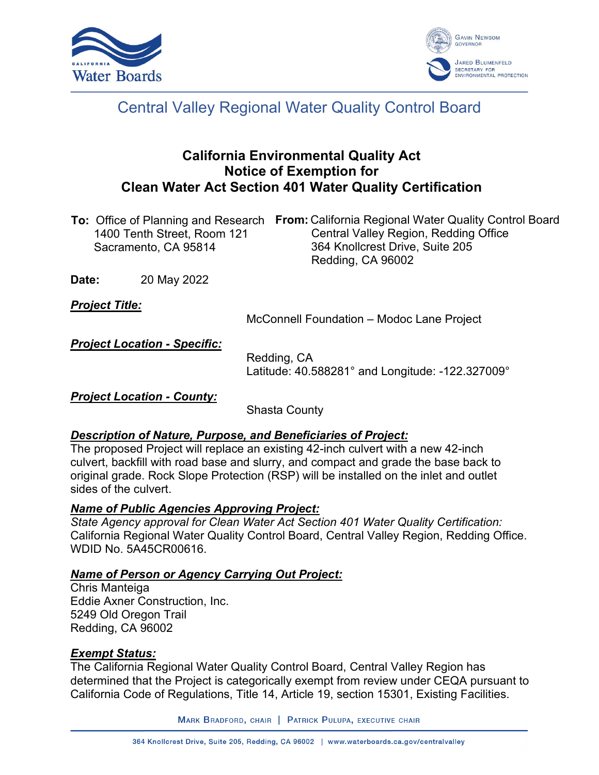



# Central Valley Regional Water Quality Control Board

# **California Environmental Quality Act Notice of Exemption for Clean Water Act Section 401 Water Quality Certification**

**To:** Office of Planning and Research From: California Regional Water Quality Control Board 1400 Tenth Street, Room 121 Sacramento, CA 95814 Central Valley Region, Redding Office 364 Knollcrest Drive, Suite 205 Redding, CA 96002

**Date:** 20 May 2022

*Project Title:*

McConnell Foundation – Modoc Lane Project

*Project Location - Specific:*

Redding, CA Latitude: 40.588281° and Longitude: -122.327009°

*Project Location - County:*

Shasta County

# *Description of Nature, Purpose, and Beneficiaries of Project:*

The proposed Project will replace an existing 42-inch culvert with a new 42-inch culvert, backfill with road base and slurry, and compact and grade the base back to original grade. Rock Slope Protection (RSP) will be installed on the inlet and outlet sides of the culvert.

# *Name of Public Agencies Approving Project:*

*State Agency approval for Clean Water Act Section 401 Water Quality Certification:* California Regional Water Quality Control Board, Central Valley Region, Redding Office. WDID No. 5A45CR00616.

#### *Name of Person or Agency Carrying Out Project:*

Chris Manteiga Eddie Axner Construction, Inc. 5249 Old Oregon Trail Redding, CA 96002

# *Exempt Status:*

The California Regional Water Quality Control Board, Central Valley Region has determined that the Project is categorically exempt from review under CEQA pursuant to California Code of Regulations, Title 14, Article 19, section 15301, Existing Facilities.

MARK BRADFORD, CHAIR | PATRICK PULUPA, EXECUTIVE CHAIR